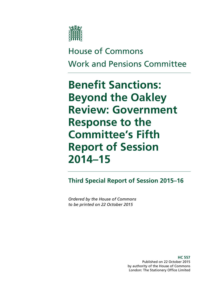

# House of Commons Work and Pensions Committee

# **Benefit Sanctions: Beyond the Oakley Review: Government Response to the Committee's Fifth Report of Session 2014–15**

**Third Special Report of Session 2015–16**

*Ordered by the House of Commons to be printed on 22 October 2015* 

> **HC 557** Published on 22 October 2015 by authority of the House of Commons London: The Stationery Office Limited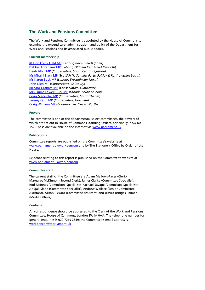#### **The Work and Pensions Committee**

The Work and Pensions Committee is appointed by the House of Commons to examine the expenditure, administration, and policy of the Department for Work and Pensions and its associated public bodies.

#### **Current membership**

[Rt Hon Frank Field MP](http://www.parliament.uk/biographies/commons/frank-field/478) (*Labour, Birkenhead*) (Chair) [Debbie Abrahams MP](http://www.parliament.uk/biographies/commons/debbie-abrahams/4212) (*Labour, Oldham East & Saddleworth*) [Heidi Allen MP](http://www.parliament.uk/biographies/commons/heidi-allen/4516) (*Conservative, South Cambridgeshire*) [Ms Mhairi Black MP](http://www.parliament.uk/biographies/commons/mhairi-black/4421) (*Scottish Nationalist Party, Paisley & Renfrewshire South*) [Ms Karen Buck MP](http://www.parliament.uk/biographies/commons/ms-karen-buck/199) (*Labour, Westminster North*) [John Glen MP](http://www.parliament.uk/biographies/commons/john-glen/4051) (*Conservative, Salisbury*) [Richard Graham MP](http://www.parliament.uk/biographies/commons/richard-graham/3990) (*Conservative, Gloucester*) [Mrs Emma Lewell-Buck MP](http://www.parliament.uk/biographies/commons/mrs-emma-lewell-buck/4277) (*Labour, South Shields*) [Craig Mackinlay MP](http://www.parliament.uk/biographies/commons/craig-mackinlay/4529) (*Conservative, South Thanet*) [Jeremy Quin MP](http://www.parliament.uk/biographies/commons/jeremy-quin/4507) (*Conservative, Horsham*) [Craig Williams MP](http://www.parliament.uk/biographies/commons/craig-williams/4438) (*Conservative, Cardiff North*)

#### **Powers**

The committee is one of the departmental select committees, the powers of which are set out in House of Commons Standing Orders, principally in SO No 152. These are available on the Internet vi[a www.parliament.uk.](http://www.publications.parliament.uk/pa/cm/cmstords.htm)

#### **Publications**

Committee reports are published on the Committee's website at [www.parliament.uk/workpencom](http://www.parliament.uk/workpencom) and by The Stationery Office by Order of the House.

Evidence relating to this report is published on the Committee's website at [www.parliament.uk/workpencom.](http://www.parliament.uk/workpencom)

#### **Committee staff**

The current staff of the Committee are Adam Mellows-Facer (Clerk), Margaret McKinnon (Second Clerk), James Clarke (Committee Specialist), Rod McInnes (Committee Specialist), Rachael Savage (Committee Specialist), Abigail Slade (Committee Specialist), Andrew Wallace (Senior Committee Assistant), Alison Pickard (Committee Assistant) and Jessica Bridges-Palmer (Media Officer).

#### **Contacts**

All correspondence should be addressed to the Clerk of the Work and Pensions Committee, House of Commons, London SW1A 0AA. The telephone number for general enquiries is 020 7219 2839; the Committee's email address is [workpencom@parliament.uk](mailto:workpencom@parliament.uk)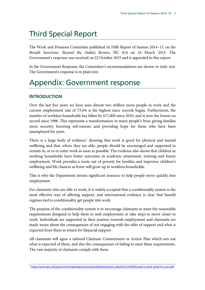# Third Special Report

The Work and Pensions Committee published its Fifth Report of Session 2014–15, on the *Benefit Sanctions: Beyond the Oakley Review*, HC 814 on 24 March 2015. The Government's response was received on 22 October 2015 and is appended to this report.

In the Government Response, the Committee's recommendations are shown in *italic text*. The Government's response is in plain text.

# Appendix: Government response

#### **INTRODUCTION**

Over the last five years we have seen almost two million more people in work and the current employment rate of 73.6% is the highest since records began. Furthermore, the number of workless households has fallen by 671,000 since 2010, and is now the lowest on record since 1996. This represents a transformation in many people's lives; giving families more security; boosting self-esteem; and providing hope for those who have been unemployed for years.

There is a large body of evidence<sup>[1](#page-2-0)</sup> showing that work is good for physical and mental wellbeing and that, where they are able, people should be encouraged and supported to remain in, or to re-enter work as soon as possible. The evidence also shows that children in working households have better outcomes in academic attainment, training and future employment. Work provides a route out of poverty for families and improves children's wellbeing and life chances as fewer will grow up in workless households.

This is why the Department invests significant resource to help people move quickly into employment.

For claimants who are able to work, it is widely accepted that a conditionality system is the most effective way of offering support, and international evidence is clear that benefit regimes tied to conditionality get people into work.

The purpose of the conditionality system is to encourage claimants to meet the reasonable requirements designed to help them to seek employment or take steps to move closer to work. Individuals are supported in their journey towards employment and claimants are made aware about the consequences of not engaging with the offer of support and what is expected from them in return for financial support.

All claimants will agree a tailored Claimant Commitment or Action Plan which sets out what is expected of them, and also the consequences of failing to meet these requirements. The vast majority of claimants comply with these.

<span id="page-2-0"></span><sup>1</sup> [https://www.gov.uk/government/uploads/system/uploads/attachment\\_data/file/214326/hwwb-is-work-good-for-you.pdf](https://www.gov.uk/government/uploads/system/uploads/attachment_data/file/214326/hwwb-is-work-good-for-you.pdf)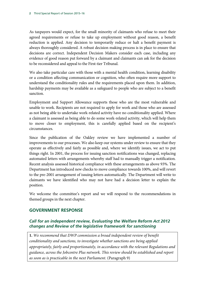As taxpayers would expect, for the small minority of claimants who refuse to meet their agreed requirements or refuse to take up employment without good reason, a benefit reduction is applied. Any decision to temporarily reduce or halt a benefit payment is always thoroughly considered. A robust decision making process is in place to ensure that decisions are correct. Independent Decision Makers consider each case, including any evidence of good reason put forward by a claimant and claimants can ask for the decision to be reconsidered and appeal to the First-tier Tribunal.

We also take particular care with those with a mental health condition, learning disability or a condition affecting communication or cognition, who often require more support to understand the conditionality rules and the requirements placed upon them. In addition, hardship payments may be available as a safeguard to people who are subject to a benefit sanction.

Employment and Support Allowance supports those who are the most vulnerable and unable to work. Recipients are not required to apply for work and those who are assessed as not being able to undertake work-related activity have no conditionality applied. Where a claimant is assessed as being able to do some work-related activity, which will help them to move closer to employment, this is carefully applied based on the recipient's circumstances.

Since the publication of the Oakley review we have implemented a number of improvements to our processes. We also keep our systems under review to ensure that they operate as effectively and fairly as possible and, where we identify issues, we act to put things right. In 2001, the process for issuing sanction notifications was changed, replacing automated letters with arrangements whereby staff had to manually trigger a notification. Recent analysis assessed historical compliance with these arrangements as above 93%. The Department has introduced new checks to move compliance towards 100%, and will revert to the pre-2001 arrangement of issuing letters automatically. The Department will write to claimants we have identified who may not have had a decision letter to explain the position.

We welcome the committee's report and we will respond to the recommendations in themed groups in the next chapter.

#### **GOVERNMENT RESPONSE**

#### *Call for an independent review, Evaluating the Welfare Reform Act 2012 changes and Review of the legislative framework for sanctioning*

**1.** *We recommend that DWP commission a broad independent review of benefit conditionality and sanctions, to investigate whether sanctions are being applied appropriately, fairly and proportionately, in accordance with the relevant Regulations and guidance, across the Jobcentre Plus network. This review should be established and report as soon as is practicable in the next Parliament.* (Paragraph 9)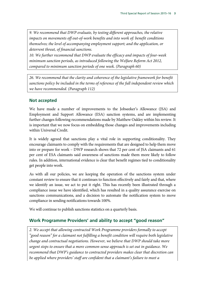*9. We recommend that DWP evaluate, by testing different approaches, the relative impacts on movements off out-of-work benefits and into work of: benefit conditions themselves; the level of accompanying employment support; and the application, or deterrent threat, of financial sanctions.* 

*10. We further recommend that DWP evaluate the efficacy and impacts of four-week minimum sanction periods, as introduced following the Welfare Reform Act 2012, compared to minimum sanction periods of one week. (Paragraph 60)* 

*26. We recommend that the clarity and coherence of the legislative framework for benefit sanctions policy be included in the terms of reference of the full independent review which we have recommended. (Paragraph 112)* 

#### **Not accepted**

We have made a number of improvements to the Jobseeker's Allowance (JSA) and Employment and Support Allowance (ESA) sanction systems, and are implementing further changes following recommendations made by Matthew Oakley within his review. It is important that we now focus on embedding those changes and improvements including within Universal Credit.

It is widely agreed that sanctions play a vital role in supporting conditionality. They encourage claimants to comply with the requirements that are designed to help them move into or prepare for work – DWP research shows that 72 per cent of JSA claimants and 61 per cent of ESA claimants said awareness of sanctions made them more likely to follow rules. In addition, international evidence is clear that benefit regimes tied to conditionality get people into work.

As with all our policies, we are keeping the operation of the sanctions system under constant review to ensure that it continues to function effectively and fairly and that, where we identify an issue, we act to put it right. This has recently been illustrated through a compliance issue we have identified, which has resulted in a quality assurance exercise on sanctions communications, and a decision to automate the notification system to move compliance in sending notifications towards 100%.

We will continue to publish sanctions statistics on a quarterly basis.

#### **Work Programme Providers' and ability to accept "good reason"**

2. We accept that allowing contracted Work Programme providers formally to accept *"good reason" for a claimant not fulfilling a benefit condition will require both legislative change and contractual negotiations. However, we believe that DWP should take more urgent steps to ensure that a more common-sense approach is set out in guidance. We recommend that DWP's guidance to contracted providers makes clear that discretion can be applied where providers' staff are confident that a claimant's failure to meet a*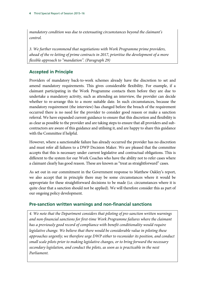*mandatory condition was due to extenuating circumstances beyond the claimant's control.* 

*3. We further recommend that negotiations with Work Programme prime providers, ahead of the re-letting of prime contracts in 2017, prioritise the development of a more flexible approach to "mandation". (Paragraph 29)* 

#### **Accepted in Principle**

Providers of mandatory back-to-work schemes already have the discretion to set and amend mandatory requirements. This gives considerable flexibility. For example, if a claimant participating in the Work Programme contacts them before they are due to undertake a mandatory activity, such as attending an interview, the provider can decide whether to re-arrange this to a more suitable date. In such circumstances, because the mandatory requirement (the interview) has changed before the breach of the requirement occurred there is no need for the provider to consider good reason or make a sanction referral. We have expanded current guidance to ensure that this discretion and flexibility is as clear as possible to the provider and are taking steps to ensure that all providers and subcontractors are aware of this guidance and utilising it, and are happy to share this guidance with the Committee if helpful.

However, where a sanctionable failure has already occurred the provider has no discretion and must refer all failures to a DWP Decision Maker. We are pleased that the committee accepts that this is necessary under current legislative and contractual obligations. This is different to the system for our Work Coaches who have the ability not to refer cases where a claimant clearly has good reason. These are known as "treat as straightforward" cases.

As set out in our commitment in the Government response to Matthew Oakley's report, we also accept that in principle there may be some circumstances where it would be appropriate for these straightforward decisions to be made (i.e. circumstances where it is quite clear that a sanction should not be applied). We will therefore consider this as part of our ongoing policy development.

#### **Pre-sanction written warnings and non-financial sanctions**

*4. We note that the Department considers that piloting of pre-sanction written warnings and non-financial sanctions for first-time Work Programme failures where the claimant has a previously good record of compliance with benefit conditionality would require legislative change. We believe that there would be considerable value in piloting these approaches urgently; we therefore urge DWP either to reconsider its position, and conduct small scale pilots prior to making legislative changes, or to bring forward the necessary secondary legislation, and conduct the pilots, as soon as is practicable in the next Parliament.*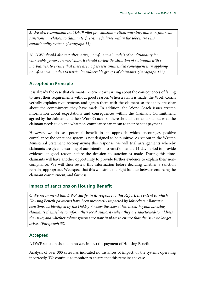*5. We also recommend that DWP pilot pre-sanction written warnings and non-financial sanctions in relation to claimants' first-time failures within the Jobcentre Plus conditionality system. (Paragraph 33)* 

*30. DWP should also test alternative, non-financial models of conditionality for vulnerable groups. In particular, it should review the situation of claimants with comorbidities, to ensure that there are no perverse unintended consequences in applying non-financial models to particular vulnerable groups of claimants. (Paragraph 135)* 

#### **Accepted in Principle**

It is already the case that claimants receive clear warning about the consequences of failing to meet their requirements without good reason. When a claim is made, the Work Coach verbally explains requirements and agrees them with the claimant so that they are clear about the commitment they have made. In addition, the Work Coach issues written information about expectations and consequences within the Claimant Commitment, agreed by the claimant and their Work Coach - so there should be no doubt about what the claimant needs to do and what non-compliance can mean to their benefit payment.

However, we do see potential benefit in an approach which encourages positive compliance: the sanctions system is not designed to be punitive. As set out in the Written Ministerial Statement accompanying this response, we will trial arrangements whereby claimants are given a warning of our intention to sanction, and a 14-day period to provide evidence of good reason before the decision to sanction is made. During this time, claimants will have another opportunity to provide further evidence to explain their noncompliance. We will then review this information before deciding whether a sanction remains appropriate. We expect that this will strike the right balance between enforcing the claimant commitment, and fairness.

#### **Impact of sanctions on Housing Benefit**

*6. We recommend that DWP clarify, in its response to this Report: the extent to which Housing Benefit payments have been incorrectly impacted by Jobseekers Allowance sanctions, as identified by the Oakley Review; the steps it has taken-beyond advising claimants themselves to inform their local authority when they are sanctioned-to address the issue; and whether robust systems are now in place to ensure that the issue no longer arises. (Paragraph 38)* 

#### **Accepted**

A DWP sanction should in no way impact the payment of Housing Benefit.

Analysis of over 300 cases has indicated no instances of impact, or the systems operating incorrectly. We continue to monitor to ensure that this remains the case.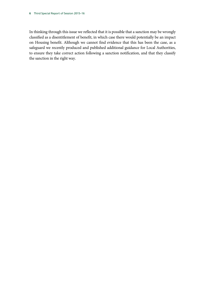In thinking through this issue we reflected that it is possible that a sanction may be wrongly classified as a disentitlement of benefit, in which case there would potentially be an impact on Housing benefit. Although we cannot find evidence that this has been the case, as a safeguard we recently produced and published additional guidance for Local Authorities, to ensure they take correct action following a sanction notification, and that they classify the sanction in the right way.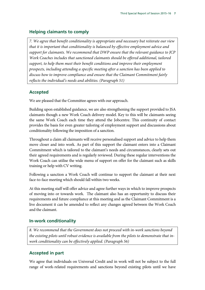#### **Helping claimants to comply**

*7. We agree that benefit conditionality is appropriate and necessary but reiterate our view that it is important that conditionality is balanced by effective employment advice and support for claimants. We recommend that DWP ensure that the relevant guidance to JCP Work Coaches includes that sanctioned claimants should be offered additional, tailored support, to help them meet their benefit conditions and improve their employment prospects, including attending a specific meeting after a sanction has been applied to discuss how to improve compliance and ensure that the Claimant Commitment fairly reflects the individual's needs and abilities. (Paragraph 51)* 

#### **Accepted**

We are pleased that the Committee agrees with our approach.

Building upon established guidance, we are also strengthening the support provided to JSA claimants though a new Work Coach delivery model. Key to this will be claimants seeing the same Work Coach each time they attend the Jobcentre. This continuity of contact provides the basis for even greater tailoring of employment support and discussions about conditionality following the imposition of a sanction.

Throughout a claim all claimants will receive personalised support and advice to help them move closer and into work. As part of this support the claimant enters into a Claimant Commitment which is tailored to the claimant's needs and circumstances, clearly sets out their agreed requirements and is regularly reviewed. During these regular interventions the Work Coach can utilise the wide menu of support on offer for the claimant such as skills training or help with CV writing.

Following a sanction a Work Coach will continue to support the claimant at their next face-to-face meeting which should fall within two weeks.

At this meeting staff will offer advice and agree further ways in which to improve prospects of moving into or towards work. The claimant also has an opportunity to discuss their requirements and future compliance at this meeting and as the Claimant Commitment is a live document it can be amended to reflect any changes agreed between the Work Coach and the claimant.

#### **In-work conditionality**

*8. We recommend that the Government does not proceed with in-work sanctions beyond the existing pilots until robust evidence is available from the pilots to demonstrate that inwork conditionality can be effectively applied. (Paragraph 56)* 

#### **Accepted in part**

We agree that individuals on Universal Credit and in work will not be subject to the full range of work-related requirements and sanctions beyond existing pilots until we have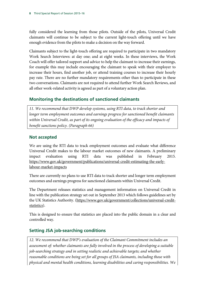fully considered the learning from those pilots. Outside of the pilots, Universal Credit claimants will continue to be subject to the current light-touch offering until we have enough evidence from the pilots to make a decision on the way forward.

Claimants subject to the light-touch offering are required to participate in two mandatory Work Search Interviews: at day one; and at eight weeks. In these interviews, the Work Coach will offer tailored support and advice to help the claimant to increase their earnings, for example this may include encouraging the claimant to speak with their employer to increase their hours, find another job, or attend training courses to increase their hourly pay rate. There are no further mandatory requirements other than to participate in these two conversations. Claimants are not required to attend further Work Search Reviews, and all other work-related activity is agreed as part of a voluntary action plan.

#### **Monitoring the destinations of sanctioned claimants**

11. We recommend that DWP develop systems, using RTI data, to track shorter and *longer term employment outcomes and earnings progress for sanctioned benefit claimants within Universal Credit, as part of its ongoing evaluation of the efficacy and impacts of benefit sanctions policy. (Paragraph 66)* 

#### **Not accepted**

We are using the RTI data to track employment outcomes and evaluate what difference Universal Credit makes to the labour market outcomes of new claimants. A preliminary impact evaluation using RTI data was published in February 2015. [https://www.gov.uk/government/publications/universal-credit-estimating-the-early](https://www.gov.uk/government/publications/universal-credit-estimating-the-early-labour-market-impacts)[labour-market-impacts](https://www.gov.uk/government/publications/universal-credit-estimating-the-early-labour-market-impacts)

There are currently no plans to use RTI data to track shorter and longer term employment outcomes and earnings progress for sanctioned claimants within Universal Credit.

The Department releases statistics and management information on Universal Credit in line with the publication strategy set out in September 2013 which follows guidelines set by the UK Statistics Authority. [\(https://www.gov.uk/government/collections/universal-credit](https://www.gov.uk/government/collections/universal-credit-statistics)[statistics\)](https://www.gov.uk/government/collections/universal-credit-statistics).

This is designed to ensure that statistics are placed into the public domain in a clear and controlled way.

#### **Setting JSA job-searching conditions**

*12. We recommend that DWP's evaluation of the Claimant Commitment includes an assessment of: whether claimants are fully involved in the process of developing a suitable job-searching strategy and in setting realistic and achievable targets; and whether reasonable conditions are being set for all groups of JSA claimants, including those with physical and mental health conditions, learning disabilities and caring responsibilities. We*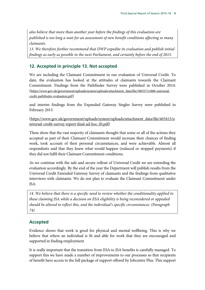*also believe that more than another year before the findings of this evaluation are published is too long a wait for an assessment of new benefit conditions affecting so many claimants.* 

*13. We therefore further recommend that DWP expedite its evaluation and publish initial findings as early as possible in the next Parliament, and certainly before the end of 2015.* 

#### **12. Accepted in principle 13. Not accepted**

We are including the Claimant Commitment in our evaluation of Universal Credit. To date, the evaluation has looked at the attitudes of claimants towards the Claimant Commitment. Findings from the Pathfinder Survey were published in October 2014: [\(https://www.gov.uk/government/uploads/system/uploads/attachment\\_data/file/380537/rr886-universal](https://www.gov.uk/government/uploads/system/uploads/attachment_data/file/380537/rr886-universal-credit-pathfinder-evaluation.pdf)[credit-pathfinder-evaluation.pdf\)](https://www.gov.uk/government/uploads/system/uploads/attachment_data/file/380537/rr886-universal-credit-pathfinder-evaluation.pdf)

and interim findings from the Expanded Gateway Singles Survey were published in February 2015:

[\(https://www.gov.uk/government/uploads/system/uploads/attachment\\_data/file/403415/u](https://www.gov.uk/government/uploads/system/uploads/attachment_data/file/403415/universal-credit-survey-report-final-ad-hoc-20.pdf) [niversal-credit-survey-report-final-ad-hoc-20.pdf\)](https://www.gov.uk/government/uploads/system/uploads/attachment_data/file/403415/universal-credit-survey-report-final-ad-hoc-20.pdf)

These show that the vast majority of claimants thought that some or all of the actions they accepted as part of their Claimant Commitment would increase their chances of finding work, took account of their personal circumstances, and were achievable. Almost all respondents said that they knew what would happen (reduced or stopped payments) if they did not fulfil their Claimant Commitment conditions.

As we continue with the safe and secure rollout of Universal Credit we are extending the evaluation accordingly. By the end of the year the Department will publish results from the Universal Credit Extended Gateway Survey of claimants and the findings from qualitative interviews with claimants. We do not plan to evaluate the Claimant Commitment under JSA.

*14. We believe that there is a specific need to review whether the conditionality applied to those claiming JSA while a decision on ESA eligibility is being reconsidered or appealed should be altered to reflect this, and the individual's specific circumstances. (Paragraph 74)* 

# **Accepted**

Evidence shows that work is good for physical and mental wellbeing. This is why we believe that where an individual is fit and able for work that they are encouraged and supported in finding employment.

It is really important that the transition from ESA to JSA benefits is carefully managed. To support this we have made a number of improvements to our processes so that recipients of benefit have access to the full package of support offered by Jobcentre Plus. This support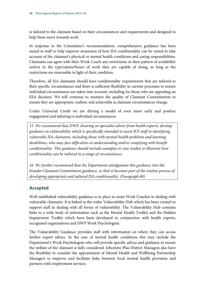is tailored to the claimant based on their circumstances and requirements and designed to help them move towards work.

In response to the Committee's recommendation, comprehensive guidance has been issued to staff to help improve awareness of how JSA conditionality can be varied to take account of the claimant's physical or mental health conditions and caring responsibilities. Claimants can agree with their Work Coach any restrictions in their pattern of availability and/or in the type/nature/hours of work they are capable of doing, as long as the restrictions are reasonable in light of their condition.

Therefore, all JSA claimants should have conditionality requirements that are tailored to their specific circumstances and there is sufficient flexibility in current processes to ensure individual circumstances are taken into account, including for those who are appealing an ESA decision. We will continue to monitor the quality of Claimant Commitments to ensure they are appropriate, realistic and achievable as claimant circumstances change.

Under Universal Credit we are driving a model of even more early and positive engagement and tailoring to individual circumstances.

*15. We recommend that DWP, drawing on specialist advice from health experts, develop guidance on vulnerability which is specifically intended to assist JCP staff in identifying vulnerable JSA claimants, including those with mental health problems and learning disabilities, who may face difficulties in understanding and/or complying with benefit conditionality. This guidance should include examples or case studies to illustrate how conditionality can be tailored in a range of circumstances.* 

*16. We further recommend that the Department amalgamate this guidance into the broader Claimant Commitment guidance, so that it becomes part of the routine process of developing appropriate and tailored JSA conditionality. (Paragraph 80)* 

#### **Accepted**

Well-established vulnerability guidance is in place to assist Work Coaches in dealing with vulnerable claimants. It is linked to the wider Vulnerability Hub which has been created to support staff in dealing with all forms of vulnerability. The Vulnerability Hub contains links to a wide body of information such as the Mental Health Toolkit and the Hidden Impairment Toolkit which have been developed in conjunction with health experts, recognised organisations and DWP Work Psychologists.

The Vulnerability Guidance provides staff with information on where they can access further expert advice. In the case of mental health conditions this may include the Department's Work Psychologists who will provide specific advice and guidance to ensure the welfare of the claimant is fully considered. Jobcentre Plus District Managers also have the flexibility to consider the appointment of Mental Health and Wellbeing Partnership Managers to improve and facilitate links between local mental health provision and partners with employment services.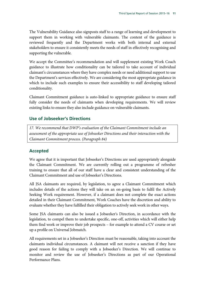The Vulnerability Guidance also signposts staff to a range of learning and development to support them in working with vulnerable claimants. The content of the guidance is reviewed frequently and the Department works with both internal and external stakeholders to ensure it consistently meets the needs of staff in effectively recognising and supporting the vulnerable.

We accept the Committee's recommendation and will supplement existing Work Coach guidance to illustrate how conditionality can be tailored to take account of individual claimant's circumstances where they have complex needs or need additional support to use the Department's services effectively. We are considering the most appropriate guidance in which to include such examples to ensure their accessibility to staff developing tailored conditionality.

Claimant Commitment guidance is auto-linked to appropriate guidance to ensure staff fully consider the needs of claimants when developing requirements. We will review existing links to ensure they also include guidance on vulnerable claimants.

#### **Use of Jobseeker's Directions**

*17. We recommend that DWP's evaluation of the Claimant Commitment include an assessment of the appropriate use of Jobseeker Directions and their interaction with the Claimant Commitment process. (Paragraph 84)* 

#### **Accepted**

We agree that it is important that Jobseeker's Directions are used appropriately alongside the Claimant Commitment. We are currently rolling out a programme of refresher training to ensure that all of our staff have a clear and consistent understanding of the Claimant Commitment and use of Jobseeker's Directions.

All JSA claimants are required, by legislation, to agree a Claimant Commitment which includes details of the actions they will take on an on-going basis to fulfil the Actively Seeking Work requirement. However, if a claimant does not complete the exact actions detailed in their Claimant Commitment, Work Coaches have the discretion and ability to evaluate whether they have fulfilled their obligation to actively seek work in other ways.

Some JSA claimants can also be issued a Jobseeker's Direction, in accordance with the legislation, to compel them to undertake specific, one-off, activities which will either help them find work or improve their job prospects – for example to attend a CV course or set up a profile on Universal Jobmatch.

All requirements set in a Jobseeker's Direction must be reasonable, taking into account the claimants individual circumstances. A claimant will not receive a sanction if they have good reason for failing to comply with a Jobseeker's Direction. We will continue to monitor and review the use of Jobseeker's Directions as part of our Operational Performance Plans.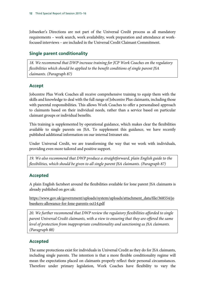Jobseeker's Directions are not part of the Universal Credit process as all mandatory requirements – work search, work availability, work preparation and attendance at workfocused interviews – are included in the Universal Credit Claimant Commitment.

#### **Single parent conditionality**

*18. We recommend that DWP increase training for JCP Work Coaches on the regulatory flexibilities which should be applied to the benefit conditions of single parent JSA claimants. (Paragraph 87)*

#### **Accept**

Jobcentre Plus Work Coaches all receive comprehensive training to equip them with the skills and knowledge to deal with the full range of Jobcentre Plus claimants, including those with parental responsibilities. This allows Work Coaches to offer a personalised approach to claimants based on their individual needs, rather than a service based on particular claimant groups or individual benefits.

This training is supplemented by operational guidance, which makes clear the flexibilities available to single parents on JSA. To supplement this guidance, we have recently published additional information on our internal Intranet site.

Under Universal Credit, we are transforming the way that we work with individuals, providing even more tailored and positive support.

*19. We also recommend that DWP produce a straightforward, plain English guide to the flexibilities, which should be given to all single parent JSA claimants. (Paragraph 87)*

#### **Accepted**

A plain English factsheet around the flexibilities available for lone parent JSA claimants is already published on gov.uk:

[https://www.gov.uk/government/uploads/system/uploads/attachment\\_data/file/368554/jo](https://www.gov.uk/government/uploads/system/uploads/attachment_data/file/368554/jobseekers-allowance-for-lone-parents-oct14.pdf) [bseekers-allowance-for-lone-parents-oct14.pdf](https://www.gov.uk/government/uploads/system/uploads/attachment_data/file/368554/jobseekers-allowance-for-lone-parents-oct14.pdf)

*20. We further recommend that DWP review the regulatory flexibilities afforded to single parent Universal Credit claimants, with a view to ensuring that they are offered the same level of protection from inappropriate conditionality and sanctioning as JSA claimants. (Paragraph 88)* 

#### **Accepted**

The same protections exist for individuals in Universal Credit as they do for JSA claimants, including single parents. The intention is that a more flexible conditionality regime will mean the expectations placed on claimants properly reflect their personal circumstances. Therefore under primary legislation, Work Coaches have flexibility to vary the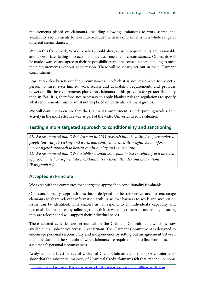requirements placed on claimants, including allowing limitations to work search and availability requirements to take into account the needs of claimants in a whole range of different circumstances.

Within this framework, Work Coaches should always ensure requirements are reasonable and appropriate, taking into account individual needs and circumstances. Claimants will be made aware of and agree to their responsibilities and the consequences of failing to meet their requirements without good reason. These will be clearly set out in their Claimant Commitment.

Legislation clearly sets out the circumstances in which it is not reasonable to expect a person to meet even limited work search and availability requirements and provides powers to lift the requirements placed on claimants – this provides for greater flexibility than in JSA. It is, therefore, not necessary to apply blanket rules in regulations to specify what requirements must or must not be placed on particular claimant groups.

We will continue to ensure that the Claimant Commitment is underpinning work search activity in the most effective way as part of the wider Universal Credit evaluation.

#### **Testing a more targeted approach to conditionality and sanctioning**

*21. We recommend that DWP draw on its 2011 research into the attitudes of unemployed people towards job-seeking and work, and consider whether its insights could inform a more targeted approach to benefit conditionality and sanctioning.* 

*22. We recommend that DWP establish a small-scale pilot to test the efficacy of a targeted approach based on segmentation of claimants by their attitudes and motivations. (Paragraph 93)* 

#### **Accepted in Principle**

We agree with the committee that a targeted approach to conditionality is valuable.

Our conditionality approach has been designed to be responsive and to encourage claimants to share relevant information with us so that barriers to work and motivation issues can be identified. This enables us to respond to an individual's capability and personal circumstances by tailoring the activities we expect them to undertake, ensuring they are relevant and will support their individual needs.

These tailored activities are set out within the Claimant Commitment, which is now available in all jobcentres across Great Britain. The Claimant Commitment is designed to encourage personal responsibility and independence by setting out an agreement between the individual and the State about what claimants are required to do to find work, based on a claimant's personal circumstances.

Analysis of the latest survey of Universal Credit Claimants and their JSA counterparts<sup>[2](#page-14-0)</sup> show that the substantial majority of Universal Credit claimants felt that either all or some

<span id="page-14-0"></span><sup>2</sup> <https://www.gov.uk/government/publications/universal-credit-claimant-survey-nov-to-dec-2014-interim-findings>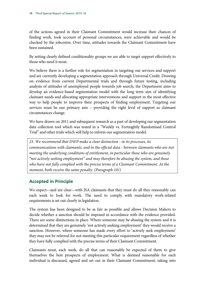of the actions agreed in their Claimant Commitment would increase their chances of finding work, took account of personal circumstances, were achievable and would be checked by the jobcentre. Over time, attitudes towards the Claimant Commitment have been sustained.

By setting clearly defined conditionality groups we are able to target support effectively to those who need it most.

We believe there is a further role for segmentation in targeting our services and support and are currently developing a segmentation approach through Universal Credit. Drawing on evidence from current Departmental trials and through future testing, including analysis of attitudes of unemployed people towards job search, the Department aims to develop an evidence-based segmentation model with the long term aim of identifying claimant needs and allocating appropriate interventions and support in the most effective way to help people to improve their prospects of finding employment. Targeting our services must be our primary aim – providing the right level of support as claimant circumstances change.

We have drawn on 2011 and subsequent research as a part of developing our segmentation data collection tool which was tested in a "Weekly vs. Fortnightly Randomised Control Trial" and other trials which will help to inform our segmentation model.

*23. We recommend that DWP make a clear distinction - in its processes, its communications with claimants, and in the official data - between claimants who are not meeting the underlying conditions of entitlement, in particular those who are genuinely "not actively seeking employment" and may therefore be abusing the system, and those who have not fully complied with the precise terms of a Claimant Commitment. At the moment, both receive the same penalty. (Paragraph 101)* 

#### **Accepted in Principle**

We expect—and are clear—with JSA claimants that they must do all they reasonably can each week to look for work. The need to comply with mandatory work-related requirements is set out clearly in legislation.

The system has been designed to be as fair as possible and allows Decision Makers to decide whether a sanction should be imposed in accordance with the evidence provided. There are some distinctions in place. Where someone may be abusing the system and it is determined that they are genuinely 'not actively seeking employment' they would receive a sanction. However, where someone has made every effort to 'actively seek employment' they may not be referred for not meeting this particular requirement regardless of whether they have fully complied with the precise terms of their Claimant Commitment.

Claimants must, each week, do all that can reasonably be expected of them to give themselves the best prospects of employment. What is deemed reasonable for each individual is discussed, agreed and set out in their Claimant Commitment, taking into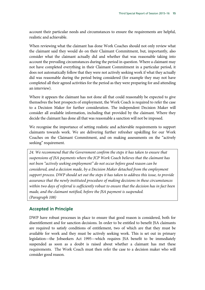account their particular needs and circumstances to ensure the requirements are helpful, realistic and achievable.

When reviewing what the claimant has done Work Coaches should not only review what the claimant said they would do on their Claimant Commitment, but, importantly, also consider what the claimant actually did and whether that was reasonable taking into account the prevailing circumstances during the period in question. Where a claimant may not have completed everything in their Claimant Commitment in a particular period, it does not automatically follow that they were not actively seeking work if what they actually did was reasonable during the period being considered (for example they may not have completed all their agreed activities for the period as they were preparing for and attending an interview).

Where it appears the claimant has not done all that could reasonably be expected to give themselves the best prospects of employment, the Work Coach is required to refer the case to a Decision Maker for further consideration. The independent Decision Maker will consider all available information, including that provided by the claimant. Where they decide the claimant has done all that was reasonable a sanction will not be imposed.

We recognise the importance of setting realistic and achievable requirements to support claimants towards work. We are delivering further refresher upskilling for our Work Coaches on the Claimant Commitment, and on making assessments on the "actively seeking" requirement.

*24. We recommend that the Government confirm the steps it has taken to ensure that suspensions of JSA payments where the JCP Work Coach believes that the claimant has not been "actively seeking employment" do not occur before good reason can be considered, and a decision made, by a Decision Maker detached from the employment support process. DWP should set out the steps it has taken to address this issue, to provide assurance that the newly instituted procedure of making decisions in these circumstances within two days of referral is sufficiently robust to ensure that the decision has in fact been made, and the claimant notified, before the JSA payment is suspended. (Paragraph 108)* 

#### **Accepted in Principle**

DWP have robust processes in place to ensure that good reason is considered, both for disentitlement and for sanction decisions. In order to be entitled to benefit JSA claimants are required to satisfy conditions of entitlement, two of which are that they must be available for work and they must be actively seeking work. This is set out in primary legislation—the Jobseekers Act 1995—which requires JSA benefit to be immediately suspended as soon as a doubt is raised about whether a claimant has met these requirements. The Work Coach must then refer the case to a decision maker who will consider good reason.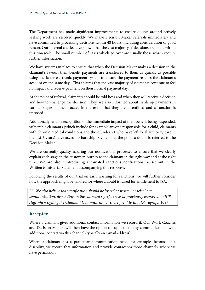The Department has made significant improvements to ensure doubts around actively seeking work are resolved quickly. We make Decision Maker referrals immediately and have committed to processing decisions within 48 hours, including consideration of good reason. Our internal checks have shown that the vast majority of decisions are made within this timescale. The small number of cases which go over are usually those which require further information.

We have systems in place to ensure that when the Decision Maker makes a decision in the claimant's favour, their benefit payments are transferred to them as quickly as possible using the faster electronic payment system to ensure the payment reaches the claimant's account on the same day. This ensures that the vast majority of claimants continue to feel no impact and receive payment on their normal payment day.

At the point of referral, claimants should be told how and when they will receive a decision and how to challenge the decision. They are also informed about hardship payments in various stages in the process, in the event that they are disentitled and a sanction is imposed.

Additionally, and in recognition of the immediate impact of their benefit being suspended, vulnerable claimants (which include for example anyone responsible for a child, claimants with chronic medical conditions and those under 21 who have left local authority care in the last 3 years) have access to hardship payments at the point a doubt is referred to the Decision Maker.

We are currently quality assuring our notifications processes to ensure that we clearly explain each stage in the customer journey to the claimant in the right way and at the right time. We are also reintroducing automated sanctions notifications, as set out in the Written Ministerial Statement accompanying this response.

Following the results of our trial on early warning for sanctions, we will further consider how the approach might be tailored for where a doubt is raised for entitlement to JSA.

*25. We also believe that notification should be by either written or telephone communication, depending on the claimant's preferences as previously expressed to JCP*  staff when signing the Claimant Commitment, or subsequent to this. (Paragraph 108)

# **Accepted**

Where a claimant gives additional contact information we record it. Our Work Coaches and Decision Makers will then have the option to supplement any communications with additional contact via this channel (typically an e-mail address).

Where a claimant has a particular communication need, for example, because of a disability, we record that information and provide contact via those channels, where we have permission.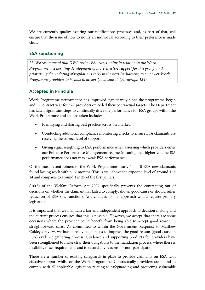We are currently quality assuring our notifications processes and, as part of that, will ensure that the issue of how to notify an individual according to their preference is made clear.

#### **ESA sanctioning**

*27. We recommend that DWP review ESA sanctioning in relation to the Work Programme, accelerating development of more effective support for this group, and prioritising the updating of regulations early in the next Parliament, to empower Work Programme providers to be able to accept "good cause". (Paragraph 134)*

#### **Accepted in Principle**

Work Programme performance has improved significantly since the programme began and in contract year four all providers exceeded their contractual targets. The Department has taken significant steps to continually drive the performance for ESA groups within the Work Programme and actions taken include:

- Identifying and sharing best practice across the market;
- Conducting additional compliance monitoring checks to ensure ESA claimants are receiving the correct level of support;
- Giving equal weighting to ESA performance when assessing which providers enter our Enhance Performance Management regime (meaning that higher volume JSA performance does not mask weak ESA performance).

Of the most recent joiners to the Work Programme nearly 1 in 10 ESA new claimants found lasting work within 12 months. This is well above the expected level of around 1 in 14 and compares to around 1 in 25 of the first joiners.

S16(3) of the Welfare Reform Act 2007 specifically prevents the contracting out of decisions on whether the claimant has failed to comply, shown good cause or should suffer reduction of ESA (i.e. sanction). Any changes to this approach would require primary legislation.

It is important that we maintain a fair and independent approach to decision making and the current process ensures that this is possible. However, we accept that there are some occasions where the provider could benefit from being able to accept good reason in straightforward cases. As committed to within the Government Response to Matthew Oakley's review, we have already taken steps to improve the good reason (good cause in ESA) evidence gathering process. Guidance and supporting products for providers have been strengthened to make clear their obligations to the mandation process, where there is flexibility to set requirements and to record any reasons for non-participation.

There are a number of existing safeguards in place to provide claimants on ESA with effective support whilst on the Work Programme. Contractually providers are bound to comply with all applicable legislation relating to safeguarding and protecting vulnerable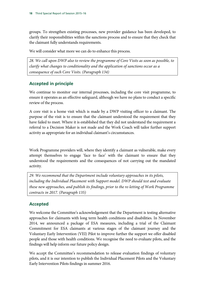groups. To strengthen existing processes, new provider guidance has been developed, to clarify their responsibilities within the sanctions process and to ensure that they check that the claimant fully understands requirements.

We will consider what more we can do to enhance this process.

*28. We call upon DWP also to review the programme of Core Visits as soon as possible, to clarify what changes to conditionality and the application of sanctions occur as a consequence of such Core Visits. (Paragraph 134)* 

# **Accepted in principle**

We continue to monitor our internal processes, including the core visit programme, to ensure it operates as an effective safeguard, although we have no plans to conduct a specific review of the process.

A core visit is a home visit which is made by a DWP visiting officer to a claimant. The purpose of the visit is to ensure that the claimant understood the requirement that they have failed to meet. Where it is established that they did not understand the requirement a referral to a Decision Maker is not made and the Work Coach will tailor further support activity as appropriate for an individual claimant's circumstances.

Work Programme providers will, where they identify a claimant as vulnerable, make every attempt themselves to engage 'face to face' with the claimant to ensure that they understood the requirements and the consequences of not carrying out the mandated activity.

*29. We recommend that the Department include voluntary approaches in its pilots, including the Individual Placement with Support model. DWP should test and evaluate these new approaches, and publish its findings, prior to the re-letting of Work Programme contracts in 2017. (Paragraph 135)*

# **Accepted**

We welcome the Committee's acknowledgement that the Department is testing alternative approaches for claimants with long term health conditions and disabilities. In November 2014, we announced a package of ESA measures, including a trial of the Claimant Commitment for ESA claimants at various stages of the claimant journey and the Voluntary Early Intervention (VEI) Pilot to improve further the support we offer disabled people and those with health conditions. We recognise the need to evaluate pilots, and the findings will help inform our future policy design.

We accept the Committee's recommendation to release evaluation findings of voluntary pilots, and it is our intention to publish the Individual Placement Pilots and the Voluntary Early Intervention Pilots findings in summer 2016.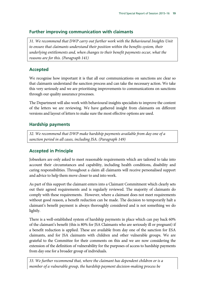#### **Further improving communication with claimants**

*31. We recommend that DWP carry out further work with the Behavioural Insights Unit to ensure that claimants understand their position within the benefits system, their underlying entitlements and, when changes to their benefit payments occur, what the reasons are for this. (Paragraph 141)* 

# **Accepted**

We recognise how important it is that all our communications on sanctions are clear so that claimants understand the sanction process and can take the necessary action. We take this very seriously and we are prioritising improvements to communications on sanctions through our quality assurance processes.

The Department will also work with behavioural insights specialists to improve the content of the letters we are reviewing. We have gathered insight from claimants on different versions and layout of letters to make sure the most effective options are used.

# **Hardship payments**

*32. We recommend that DWP make hardship payments available from day one of a sanction period in all cases, including JSA. (Paragraph 149)*

# **Accepted in Principle**

Jobseekers are only asked to meet reasonable requirements which are tailored to take into account their circumstances and capability, including health conditions, disability and caring responsibilities. Throughout a claim all claimants will receive personalised support and advice to help them move closer to and into work.

As part of this support the claimant enters into a Claimant Commitment which clearly sets out their agreed requirements and is regularly reviewed. The majority of claimants do comply with these requirements. However, where a claimant does not meet requirements without good reason, a benefit reduction can be made. The decision to temporarily halt a claimant's benefit payment is always thoroughly considered and is not something we do lightly.

There is a well-established system of hardship payments in place which can pay back 60% of the claimant's benefit (this is 80% for JSA Claimants who are seriously ill or pregnant) if a benefit reduction is applied. These are available from day one of the sanction for ESA claimants, and for JSA claimants with children and other vulnerable groups. We are grateful to the Committee for their comments on this and we are now considering the extension of the definition of vulnerability for the purposes of access to hardship payments from day one for a broader group of individuals.

*33. We further recommend that, where the claimant has dependent children or is a member of a vulnerable group, the hardship payment decision-making process be*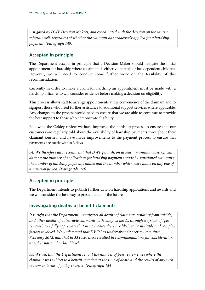*instigated by DWP Decision Makers, and coordinated with the decision on the sanction referral itself, regardless of whether the claimant has proactively applied for a hardship payment. (Paragraph 149)*

#### **Accepted in principle**

The Department accepts in principle that a Decision Maker should instigate the initial appointment for hardship where a claimant is either vulnerable or has dependent children. However, we will need to conduct some further work on the feasibility of this recommendation.

Currently in order to make a claim for hardship an appointment must be made with a hardship officer who will consider evidence before making a decision on eligibility.

This process allows staff to arrange appointments at the convenience of the claimant and to signpost those who need further assistance to additional support services where applicable. Any changes to the process would need to ensure that we are able to continue to provide the best support to those who demonstrate eligibility.

Following the Oakley review we have improved the hardship process to ensure that our customers are regularly told about the availability of hardship payments throughout their claimant journey, and have made improvements to the payment process to ensure that payments are made within 3 days.

*34. We therefore also recommend that DWP publish, on at least an annual basis, official data on the number of applications for hardship payments made by sanctioned claimants; the number of hardship payments made; and the number which were made on day one of a sanction period. (Paragraph 150)* 

# **Accepted in principle**

The Department intends to publish further data on hardship applications and awards and we will consider the best way to present data for the future.

#### **Investigating deaths of benefit claimants**

*It is right that the Department investigates all deaths of claimants resulting from suicide, and other deaths of vulnerable claimants with complex needs, through a system of "peer reviews". We fully appreciate that in such cases there are likely to be multiple and complex factors involved. We understand that DWP has undertaken 49 peer reviews since February 2012, and that in 33 cases these resulted in recommendations for consideration at either national or local level.* 

*35. We ask that the Department set out the number of peer review cases where the claimant was subject to a benefit sanction at the time of death and the results of any such reviews in terms of policy changes. (Paragraph 154)*